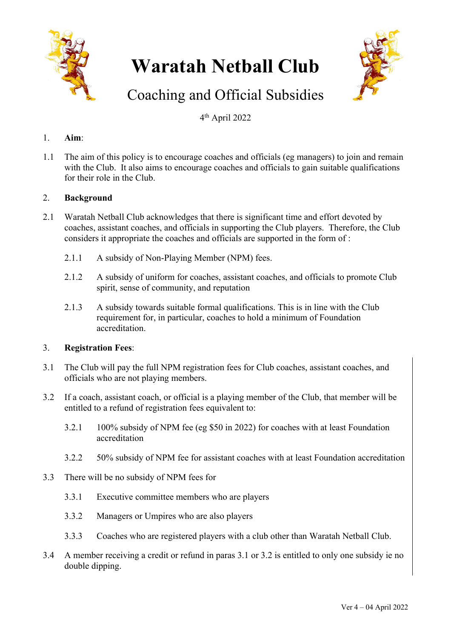

# **Waratah Netball Club**



# Coaching and Official Subsidies

4th April 2022

### 1. **Aim**:

1.1 The aim of this policy is to encourage coaches and officials (eg managers) to join and remain with the Club. It also aims to encourage coaches and officials to gain suitable qualifications for their role in the Club.

#### 2. **Background**

- 2.1 Waratah Netball Club acknowledges that there is significant time and effort devoted by coaches, assistant coaches, and officials in supporting the Club players. Therefore, the Club considers it appropriate the coaches and officials are supported in the form of :
	- 2.1.1 A subsidy of Non-Playing Member (NPM) fees.
	- 2.1.2 A subsidy of uniform for coaches, assistant coaches, and officials to promote Club spirit, sense of community, and reputation
	- 2.1.3 A subsidy towards suitable formal qualifications. This is in line with the Club requirement for, in particular, coaches to hold a minimum of Foundation accreditation.

#### 3. **Registration Fees**:

- 3.1 The Club will pay the full NPM registration fees for Club coaches, assistant coaches, and officials who are not playing members.
- 3.2 If a coach, assistant coach, or official is a playing member of the Club, that member will be entitled to a refund of registration fees equivalent to:
	- 3.2.1 100% subsidy of NPM fee (eg \$50 in 2022) for coaches with at least Foundation accreditation
	- 3.2.2 50% subsidy of NPM fee for assistant coaches with at least Foundation accreditation
- 3.3 There will be no subsidy of NPM fees for
	- 3.3.1 Executive committee members who are players
	- 3.3.2 Managers or Umpires who are also players
	- 3.3.3 Coaches who are registered players with a club other than Waratah Netball Club.
- 3.4 A member receiving a credit or refund in paras 3.1 or 3.2 is entitled to only one subsidy ie no double dipping.